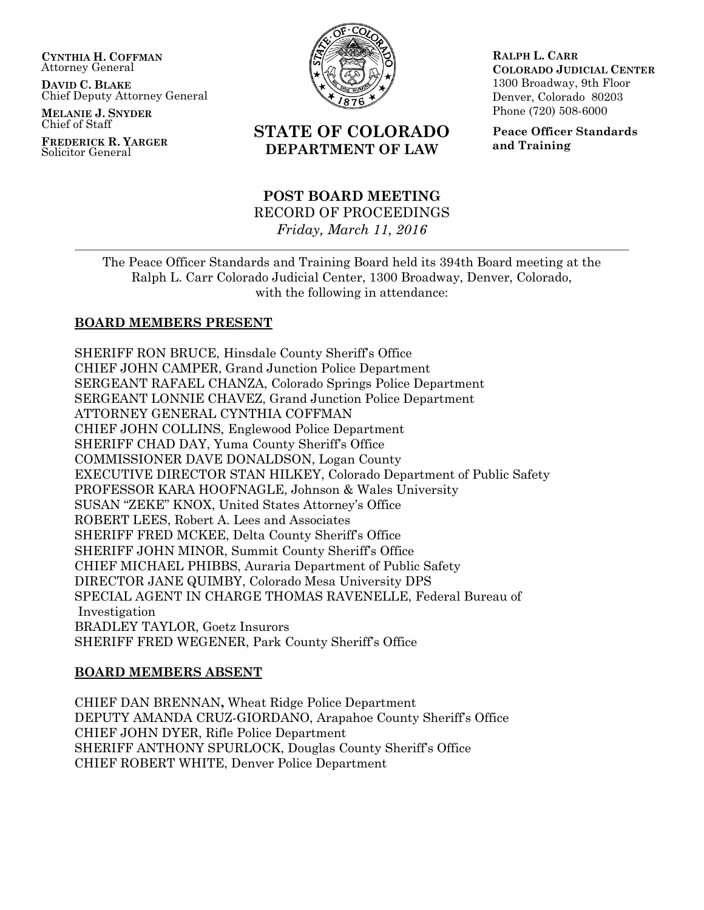**CYNTHIA H. COFFMAN** Attorney General

**DAVID C. BLAKE** Chief Deputy Attorney General

**MELANIE J. SNYDER** Chief of Staff

**FREDERICK R. YARGER** Solicitor General



# **STATE OF COLORADO DEPARTMENT OF LAW**

## **POST BOARD MEETING** RECORD OF PROCEEDINGS *Friday, March 11, 2016*

**RALPH L. CARR COLORADO JUDICIAL CENTER** 1300 Broadway, 9th Floor Denver, Colorado 80203 Phone (720) 508-6000

**Peace Officer Standards and Training**

The Peace Officer Standards and Training Board held its 394th Board meeting at the Ralph L. Carr Colorado Judicial Center, 1300 Broadway, Denver, Colorado, with the following in attendance:

## **BOARD MEMBERS PRESENT**

SHERIFF RON BRUCE, Hinsdale County Sheriff's Office CHIEF JOHN CAMPER, Grand Junction Police Department SERGEANT RAFAEL CHANZA, Colorado Springs Police Department SERGEANT LONNIE CHAVEZ, Grand Junction Police Department ATTORNEY GENERAL CYNTHIA COFFMAN CHIEF JOHN COLLINS, Englewood Police Department SHERIFF CHAD DAY, Yuma County Sheriff's Office COMMISSIONER DAVE DONALDSON, Logan County EXECUTIVE DIRECTOR STAN HILKEY, Colorado Department of Public Safety PROFESSOR KARA HOOFNAGLE, Johnson & Wales University SUSAN "ZEKE" KNOX, United States Attorney's Office ROBERT LEES, Robert A. Lees and Associates SHERIFF FRED MCKEE, Delta County Sheriff's Office SHERIFF JOHN MINOR, Summit County Sheriff's Office CHIEF MICHAEL PHIBBS, Auraria Department of Public Safety DIRECTOR JANE QUIMBY, Colorado Mesa University DPS SPECIAL AGENT IN CHARGE THOMAS RAVENELLE, Federal Bureau of Investigation BRADLEY TAYLOR, Goetz Insurors SHERIFF FRED WEGENER, Park County Sheriff's Office

## **BOARD MEMBERS ABSENT**

CHIEF DAN BRENNAN**,** Wheat Ridge Police Department DEPUTY AMANDA CRUZ-GIORDANO, Arapahoe County Sheriff's Office CHIEF JOHN DYER, Rifle Police Department SHERIFF ANTHONY SPURLOCK, Douglas County Sheriff's Office CHIEF ROBERT WHITE, Denver Police Department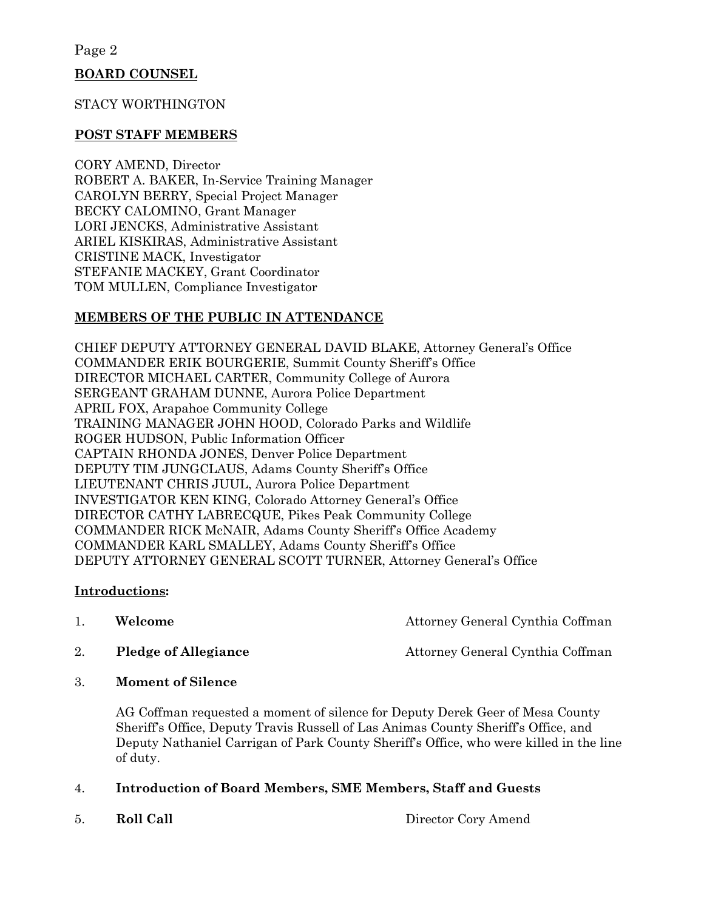## **BOARD COUNSEL**

#### STACY WORTHINGTON

#### **POST STAFF MEMBERS**

CORY AMEND, Director ROBERT A. BAKER, In-Service Training Manager CAROLYN BERRY, Special Project Manager BECKY CALOMINO, Grant Manager LORI JENCKS, Administrative Assistant ARIEL KISKIRAS, Administrative Assistant CRISTINE MACK, Investigator STEFANIE MACKEY, Grant Coordinator TOM MULLEN, Compliance Investigator

## **MEMBERS OF THE PUBLIC IN ATTENDANCE**

CHIEF DEPUTY ATTORNEY GENERAL DAVID BLAKE, Attorney General's Office COMMANDER ERIK BOURGERIE, Summit County Sheriff's Office DIRECTOR MICHAEL CARTER, Community College of Aurora SERGEANT GRAHAM DUNNE, Aurora Police Department APRIL FOX, Arapahoe Community College TRAINING MANAGER JOHN HOOD, Colorado Parks and Wildlife ROGER HUDSON, Public Information Officer CAPTAIN RHONDA JONES, Denver Police Department DEPUTY TIM JUNGCLAUS, Adams County Sheriff's Office LIEUTENANT CHRIS JUUL, Aurora Police Department INVESTIGATOR KEN KING, Colorado Attorney General's Office DIRECTOR CATHY LABRECQUE, Pikes Peak Community College COMMANDER RICK McNAIR, Adams County Sheriff's Office Academy COMMANDER KARL SMALLEY, Adams County Sheriff's Office DEPUTY ATTORNEY GENERAL SCOTT TURNER, Attorney General's Office

## **Introductions:**

| Welcome | Attorney General Cynthia Coffman |
|---------|----------------------------------|
|         |                                  |

2. **Pledge of Allegiance Attorney General Cynthia Coffman** 

3. **Moment of Silence**

AG Coffman requested a moment of silence for Deputy Derek Geer of Mesa County Sheriff's Office, Deputy Travis Russell of Las Animas County Sheriff's Office, and Deputy Nathaniel Carrigan of Park County Sheriff's Office, who were killed in the line of duty.

## 4. **Introduction of Board Members, SME Members, Staff and Guests**

5. **Roll Call** Director Cory Amend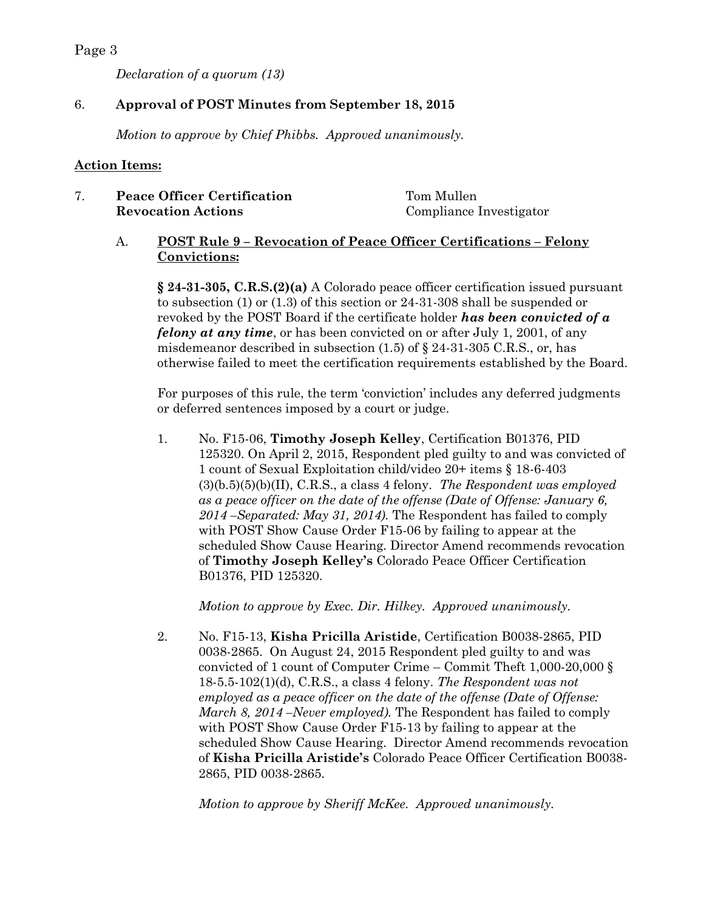*Declaration of a quorum (13)*

## 6. **Approval of POST Minutes from September 18, 2015**

*Motion to approve by Chief Phibbs. Approved unanimously.*

#### **Action Items:**

## 7. **Peace Officer Certification** Tom Mullen **Revocation Actions** Compliance Investigator

## A. **POST Rule 9 – Revocation of Peace Officer Certifications – Felony Convictions:**

**§ 24-31-305, C.R.S.(2)(a)** A Colorado peace officer certification issued pursuant to subsection (1) or (1.3) of this section or 24-31-308 shall be suspended or revoked by the POST Board if the certificate holder *has been convicted of a felony at any time*, or has been convicted on or after July 1, 2001, of any misdemeanor described in subsection  $(1.5)$  of  $\S$  24-31-305 C.R.S., or, has otherwise failed to meet the certification requirements established by the Board.

For purposes of this rule, the term 'conviction' includes any deferred judgments or deferred sentences imposed by a court or judge.

1. No. F15-06, **Timothy Joseph Kelley**, Certification B01376, PID 125320. On April 2, 2015, Respondent pled guilty to and was convicted of 1 count of Sexual Exploitation child/video 20+ items § 18-6-403 (3)(b.5)(5)(b)(II), C.R.S., a class 4 felony. *The Respondent was employed as a peace officer on the date of the offense (Date of Offense: January 6, 2014 –Separated: May 31, 2014).* The Respondent has failed to comply with POST Show Cause Order F15-06 by failing to appear at the scheduled Show Cause Hearing. Director Amend recommends revocation of **Timothy Joseph Kelley's** Colorado Peace Officer Certification B01376, PID 125320.

*Motion to approve by Exec. Dir. Hilkey. Approved unanimously.*

2. No. F15-13, **Kisha Pricilla Aristide**, Certification B0038-2865, PID 0038-2865. On August 24, 2015 Respondent pled guilty to and was convicted of 1 count of Computer Crime – Commit Theft 1,000-20,000 § 18-5.5-102(1)(d), C.R.S., a class 4 felony. *The Respondent was not employed as a peace officer on the date of the offense (Date of Offense: March 8, 2014 –Never employed).* The Respondent has failed to comply with POST Show Cause Order F15-13 by failing to appear at the scheduled Show Cause Hearing. Director Amend recommends revocation of **Kisha Pricilla Aristide's** Colorado Peace Officer Certification B0038- 2865, PID 0038-2865.

*Motion to approve by Sheriff McKee. Approved unanimously.*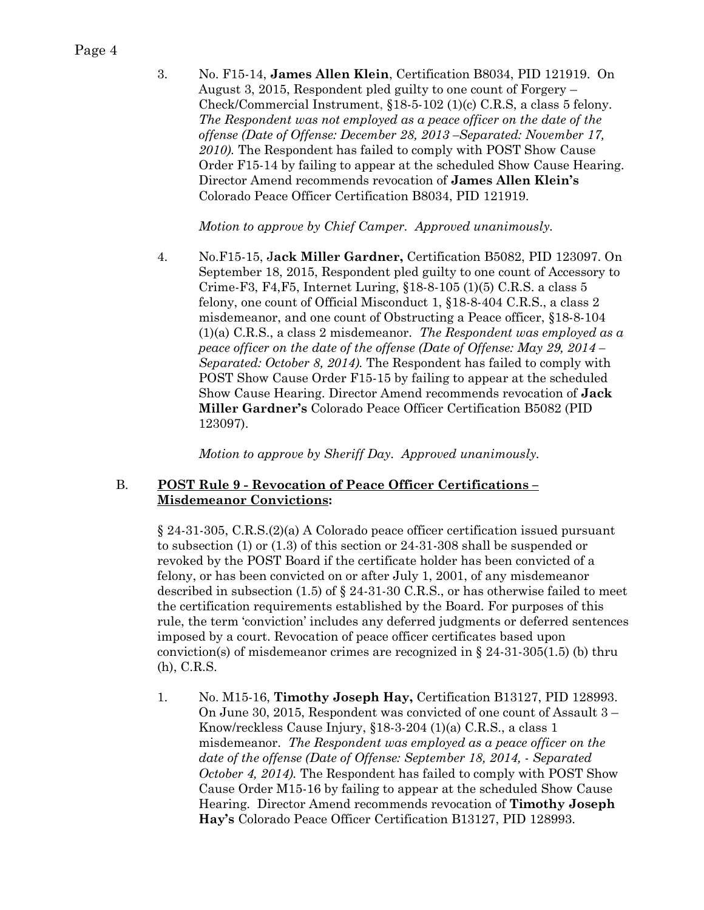3. No. F15-14, **James Allen Klein**, Certification B8034, PID 121919. On August 3, 2015, Respondent pled guilty to one count of Forgery – Check/Commercial Instrument, §18-5-102 (1)(c) C.R.S, a class 5 felony. *The Respondent was not employed as a peace officer on the date of the offense (Date of Offense: December 28, 2013 –Separated: November 17, 2010).* The Respondent has failed to comply with POST Show Cause Order F15-14 by failing to appear at the scheduled Show Cause Hearing. Director Amend recommends revocation of **James Allen Klein's**  Colorado Peace Officer Certification B8034, PID 121919.

*Motion to approve by Chief Camper. Approved unanimously.*

4. No.F15-15, J**ack Miller Gardner,** Certification B5082, PID 123097. On September 18, 2015, Respondent pled guilty to one count of Accessory to Crime-F3, F4,F5, Internet Luring, §18-8-105 (1)(5) C.R.S. a class 5 felony, one count of Official Misconduct 1, §18-8-404 C.R.S., a class 2 misdemeanor, and one count of Obstructing a Peace officer, §18-8-104 (1)(a) C.R.S., a class 2 misdemeanor. *The Respondent was employed as a peace officer on the date of the offense (Date of Offense: May 29, 2014 – Separated: October 8, 2014).* The Respondent has failed to comply with POST Show Cause Order F15-15 by failing to appear at the scheduled Show Cause Hearing. Director Amend recommends revocation of **Jack Miller Gardner's** Colorado Peace Officer Certification B5082 (PID 123097).

*Motion to approve by Sheriff Day. Approved unanimously.*

## B. **POST Rule 9 - Revocation of Peace Officer Certifications – Misdemeanor Convictions:**

§ 24-31-305, C.R.S.(2)(a) A Colorado peace officer certification issued pursuant to subsection (1) or (1.3) of this section or 24-31-308 shall be suspended or revoked by the POST Board if the certificate holder has been convicted of a felony, or has been convicted on or after July 1, 2001, of any misdemeanor described in subsection (1.5) of  $\S 24-31-30$  C.R.S., or has otherwise failed to meet the certification requirements established by the Board. For purposes of this rule, the term 'conviction' includes any deferred judgments or deferred sentences imposed by a court. Revocation of peace officer certificates based upon conviction(s) of misdemeanor crimes are recognized in  $\S$  24-31-305(1.5) (b) thru (h), C.R.S.

1. No. M15-16, **Timothy Joseph Hay,** Certification B13127, PID 128993. On June 30, 2015, Respondent was convicted of one count of Assault 3 – Know/reckless Cause Injury, §18-3-204 (1)(a) C.R.S., a class 1 misdemeanor. *The Respondent was employed as a peace officer on the date of the offense (Date of Offense: September 18, 2014,* - *Separated October 4, 2014).* The Respondent has failed to comply with POST Show Cause Order M15-16 by failing to appear at the scheduled Show Cause Hearing. Director Amend recommends revocation of **Timothy Joseph Hay's** Colorado Peace Officer Certification B13127, PID 128993.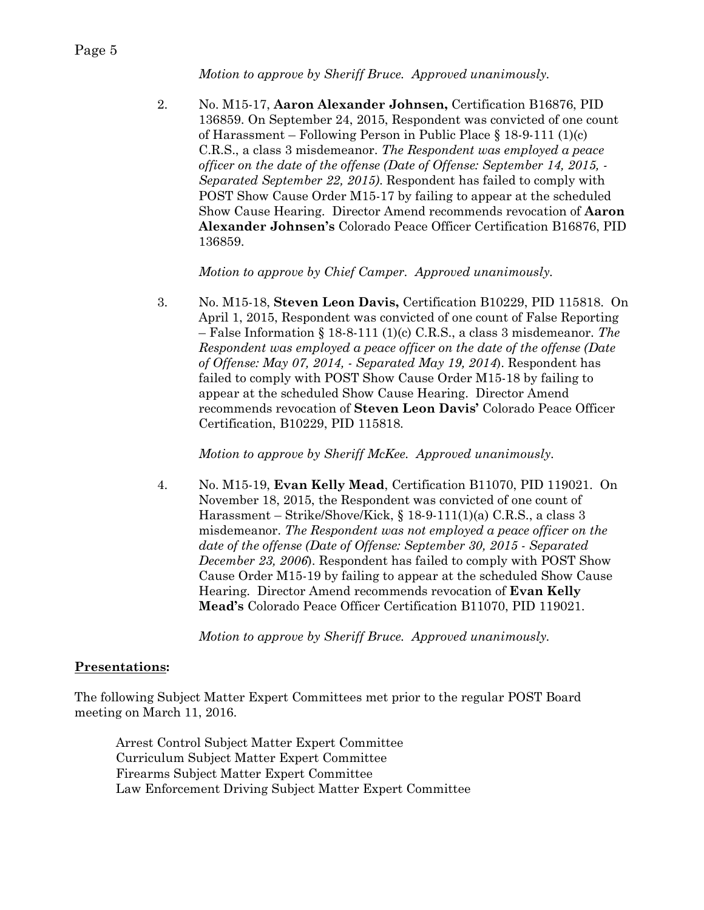*Motion to approve by Sheriff Bruce. Approved unanimously.*

2. No. M15-17, **Aaron Alexander Johnsen,** Certification B16876, PID 136859. On September 24, 2015, Respondent was convicted of one count of Harassment – Following Person in Public Place § 18-9-111 (1)(c) C.R.S., a class 3 misdemeanor. *The Respondent was employed a peace officer on the date of the offense (Date of Offense: September 14, 2015, - Separated September 22, 2015)*. Respondent has failed to comply with POST Show Cause Order M15-17 by failing to appear at the scheduled Show Cause Hearing. Director Amend recommends revocation of **Aaron Alexander Johnsen's** Colorado Peace Officer Certification B16876, PID 136859.

*Motion to approve by Chief Camper. Approved unanimously.*

3. No. M15-18, **Steven Leon Davis,** Certification B10229, PID 115818. On April 1, 2015, Respondent was convicted of one count of False Reporting – False Information § 18-8-111 (1)(c) C.R.S., a class 3 misdemeanor. *The Respondent was employed a peace officer on the date of the offense (Date of Offense: May 07, 2014, - Separated May 19, 2014*). Respondent has failed to comply with POST Show Cause Order M15-18 by failing to appear at the scheduled Show Cause Hearing. Director Amend recommends revocation of **Steven Leon Davis'** Colorado Peace Officer Certification, B10229, PID 115818.

*Motion to approve by Sheriff McKee. Approved unanimously.*

4. No. M15-19, **Evan Kelly Mead**, Certification B11070, PID 119021. On November 18, 2015, the Respondent was convicted of one count of Harassment – Strike/Shove/Kick, § 18-9-111(1)(a) C.R.S., a class 3 misdemeanor. *The Respondent was not employed a peace officer on the date of the offense (Date of Offense: September 30, 2015 - Separated December 23, 2006*). Respondent has failed to comply with POST Show Cause Order M15-19 by failing to appear at the scheduled Show Cause Hearing. Director Amend recommends revocation of **Evan Kelly Mead's** Colorado Peace Officer Certification B11070, PID 119021.

*Motion to approve by Sheriff Bruce. Approved unanimously.*

## **Presentations:**

The following Subject Matter Expert Committees met prior to the regular POST Board meeting on March 11, 2016.

Arrest Control Subject Matter Expert Committee Curriculum Subject Matter Expert Committee Firearms Subject Matter Expert Committee Law Enforcement Driving Subject Matter Expert Committee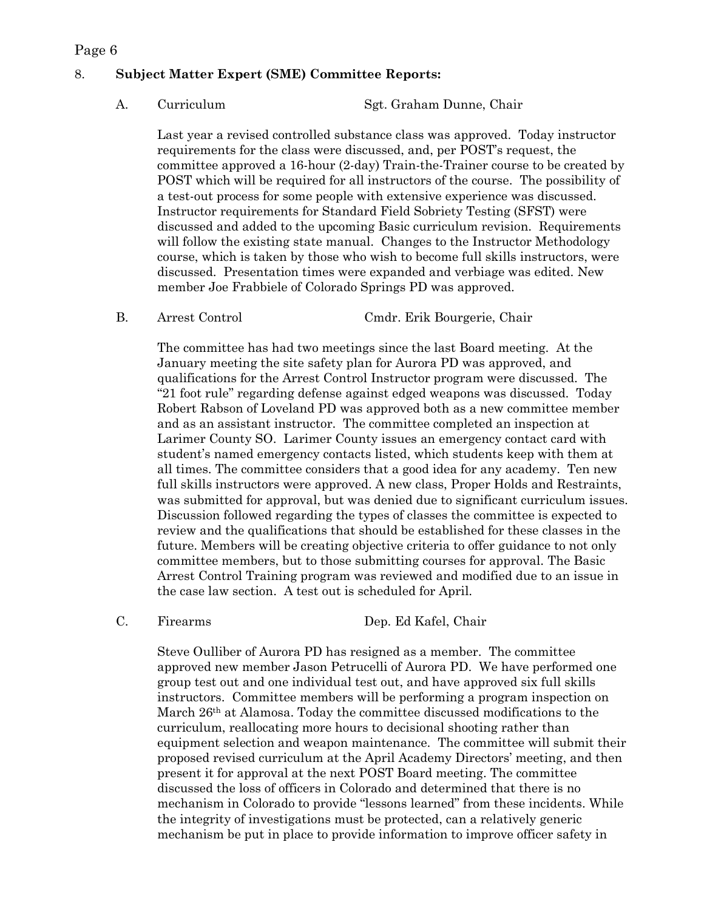## 8. **Subject Matter Expert (SME) Committee Reports:**

A. Curriculum Sgt. Graham Dunne, Chair

Last year a revised controlled substance class was approved. Today instructor requirements for the class were discussed, and, per POST's request, the committee approved a 16-hour (2-day) Train-the-Trainer course to be created by POST which will be required for all instructors of the course. The possibility of a test-out process for some people with extensive experience was discussed. Instructor requirements for Standard Field Sobriety Testing (SFST) were discussed and added to the upcoming Basic curriculum revision. Requirements will follow the existing state manual. Changes to the Instructor Methodology course, which is taken by those who wish to become full skills instructors, were discussed. Presentation times were expanded and verbiage was edited. New member Joe Frabbiele of Colorado Springs PD was approved.

B. Arrest Control Cmdr. Erik Bourgerie, Chair

The committee has had two meetings since the last Board meeting. At the January meeting the site safety plan for Aurora PD was approved, and qualifications for the Arrest Control Instructor program were discussed. The "21 foot rule" regarding defense against edged weapons was discussed. Today Robert Rabson of Loveland PD was approved both as a new committee member and as an assistant instructor. The committee completed an inspection at Larimer County SO. Larimer County issues an emergency contact card with student's named emergency contacts listed, which students keep with them at all times. The committee considers that a good idea for any academy. Ten new full skills instructors were approved. A new class, Proper Holds and Restraints, was submitted for approval, but was denied due to significant curriculum issues. Discussion followed regarding the types of classes the committee is expected to review and the qualifications that should be established for these classes in the future. Members will be creating objective criteria to offer guidance to not only committee members, but to those submitting courses for approval. The Basic Arrest Control Training program was reviewed and modified due to an issue in the case law section. A test out is scheduled for April.

C. Firearms Dep. Ed Kafel, Chair

Steve Oulliber of Aurora PD has resigned as a member. The committee approved new member Jason Petrucelli of Aurora PD. We have performed one group test out and one individual test out, and have approved six full skills instructors. Committee members will be performing a program inspection on March 26th at Alamosa. Today the committee discussed modifications to the curriculum, reallocating more hours to decisional shooting rather than equipment selection and weapon maintenance. The committee will submit their proposed revised curriculum at the April Academy Directors' meeting, and then present it for approval at the next POST Board meeting. The committee discussed the loss of officers in Colorado and determined that there is no mechanism in Colorado to provide "lessons learned" from these incidents. While the integrity of investigations must be protected, can a relatively generic mechanism be put in place to provide information to improve officer safety in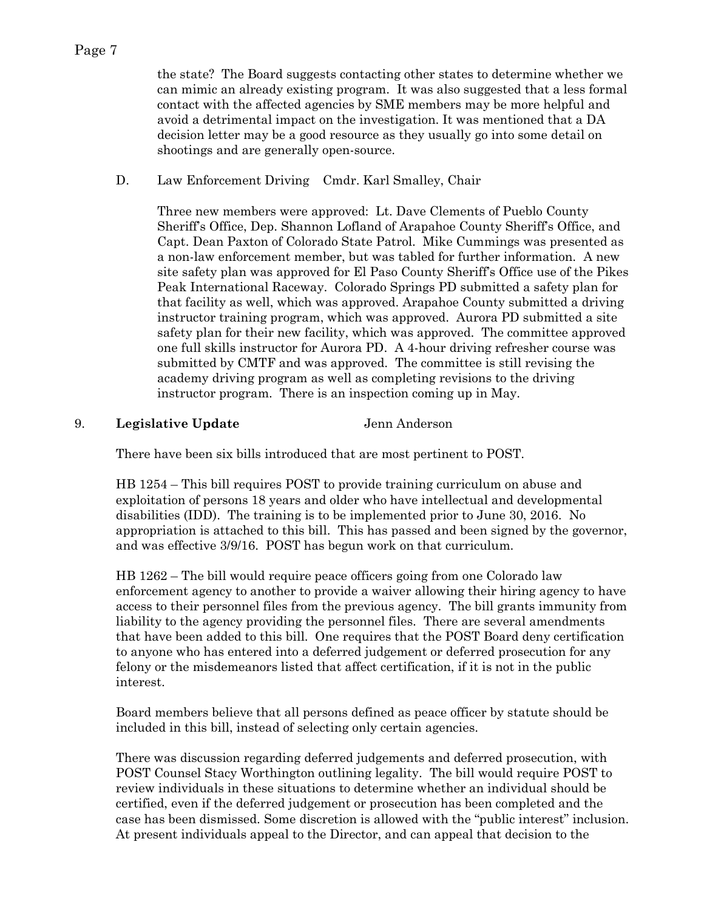the state? The Board suggests contacting other states to determine whether we can mimic an already existing program. It was also suggested that a less formal contact with the affected agencies by SME members may be more helpful and avoid a detrimental impact on the investigation. It was mentioned that a DA decision letter may be a good resource as they usually go into some detail on shootings and are generally open-source.

D. Law Enforcement Driving Cmdr. Karl Smalley, Chair

Three new members were approved: Lt. Dave Clements of Pueblo County Sheriff's Office, Dep. Shannon Lofland of Arapahoe County Sheriff's Office, and Capt. Dean Paxton of Colorado State Patrol. Mike Cummings was presented as a non-law enforcement member, but was tabled for further information. A new site safety plan was approved for El Paso County Sheriff's Office use of the Pikes Peak International Raceway. Colorado Springs PD submitted a safety plan for that facility as well, which was approved. Arapahoe County submitted a driving instructor training program, which was approved. Aurora PD submitted a site safety plan for their new facility, which was approved. The committee approved one full skills instructor for Aurora PD. A 4-hour driving refresher course was submitted by CMTF and was approved. The committee is still revising the academy driving program as well as completing revisions to the driving instructor program. There is an inspection coming up in May.

9. **Legislative Update** Jenn Anderson

There have been six bills introduced that are most pertinent to POST.

HB 1254 – This bill requires POST to provide training curriculum on abuse and exploitation of persons 18 years and older who have intellectual and developmental disabilities (IDD). The training is to be implemented prior to June 30, 2016. No appropriation is attached to this bill. This has passed and been signed by the governor, and was effective 3/9/16. POST has begun work on that curriculum.

HB 1262 – The bill would require peace officers going from one Colorado law enforcement agency to another to provide a waiver allowing their hiring agency to have access to their personnel files from the previous agency. The bill grants immunity from liability to the agency providing the personnel files. There are several amendments that have been added to this bill. One requires that the POST Board deny certification to anyone who has entered into a deferred judgement or deferred prosecution for any felony or the misdemeanors listed that affect certification, if it is not in the public interest.

Board members believe that all persons defined as peace officer by statute should be included in this bill, instead of selecting only certain agencies.

There was discussion regarding deferred judgements and deferred prosecution, with POST Counsel Stacy Worthington outlining legality. The bill would require POST to review individuals in these situations to determine whether an individual should be certified, even if the deferred judgement or prosecution has been completed and the case has been dismissed. Some discretion is allowed with the "public interest" inclusion. At present individuals appeal to the Director, and can appeal that decision to the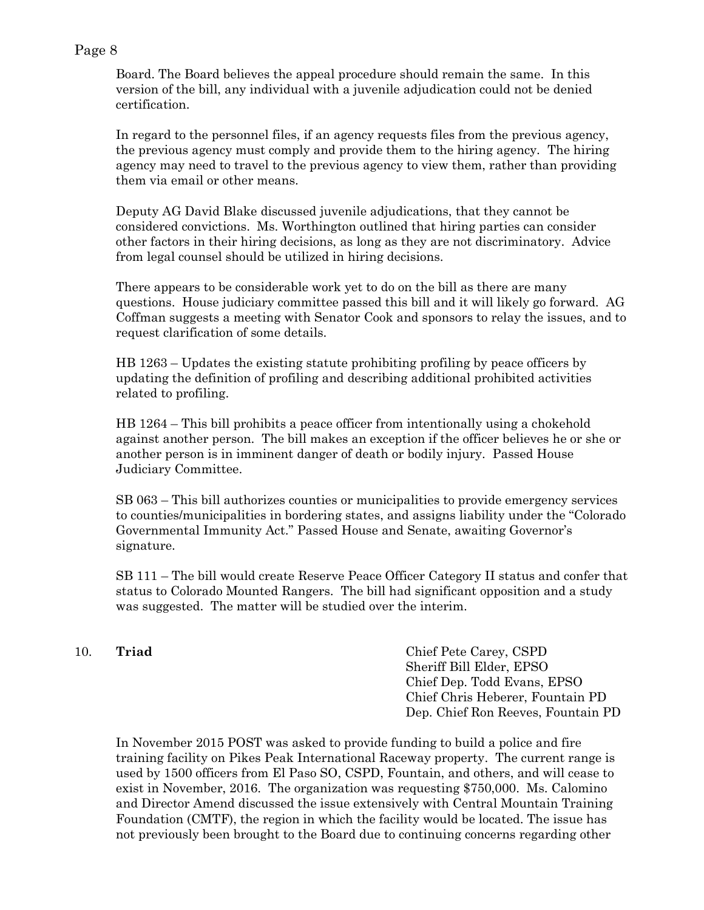Board. The Board believes the appeal procedure should remain the same. In this version of the bill, any individual with a juvenile adjudication could not be denied certification.

In regard to the personnel files, if an agency requests files from the previous agency, the previous agency must comply and provide them to the hiring agency. The hiring agency may need to travel to the previous agency to view them, rather than providing them via email or other means.

Deputy AG David Blake discussed juvenile adjudications, that they cannot be considered convictions. Ms. Worthington outlined that hiring parties can consider other factors in their hiring decisions, as long as they are not discriminatory. Advice from legal counsel should be utilized in hiring decisions.

There appears to be considerable work yet to do on the bill as there are many questions. House judiciary committee passed this bill and it will likely go forward. AG Coffman suggests a meeting with Senator Cook and sponsors to relay the issues, and to request clarification of some details.

HB 1263 – Updates the existing statute prohibiting profiling by peace officers by updating the definition of profiling and describing additional prohibited activities related to profiling.

HB 1264 – This bill prohibits a peace officer from intentionally using a chokehold against another person. The bill makes an exception if the officer believes he or she or another person is in imminent danger of death or bodily injury. Passed House Judiciary Committee.

SB 063 – This bill authorizes counties or municipalities to provide emergency services to counties/municipalities in bordering states, and assigns liability under the "Colorado Governmental Immunity Act." Passed House and Senate, awaiting Governor's signature.

SB 111 – The bill would create Reserve Peace Officer Category II status and confer that status to Colorado Mounted Rangers. The bill had significant opposition and a study was suggested. The matter will be studied over the interim.

10. **Triad** Chief Pete Carey, CSPD Sheriff Bill Elder, EPSO Chief Dep. Todd Evans, EPSO Chief Chris Heberer, Fountain PD Dep. Chief Ron Reeves, Fountain PD

In November 2015 POST was asked to provide funding to build a police and fire training facility on Pikes Peak International Raceway property. The current range is used by 1500 officers from El Paso SO, CSPD, Fountain, and others, and will cease to exist in November, 2016. The organization was requesting \$750,000. Ms. Calomino and Director Amend discussed the issue extensively with Central Mountain Training Foundation (CMTF), the region in which the facility would be located. The issue has not previously been brought to the Board due to continuing concerns regarding other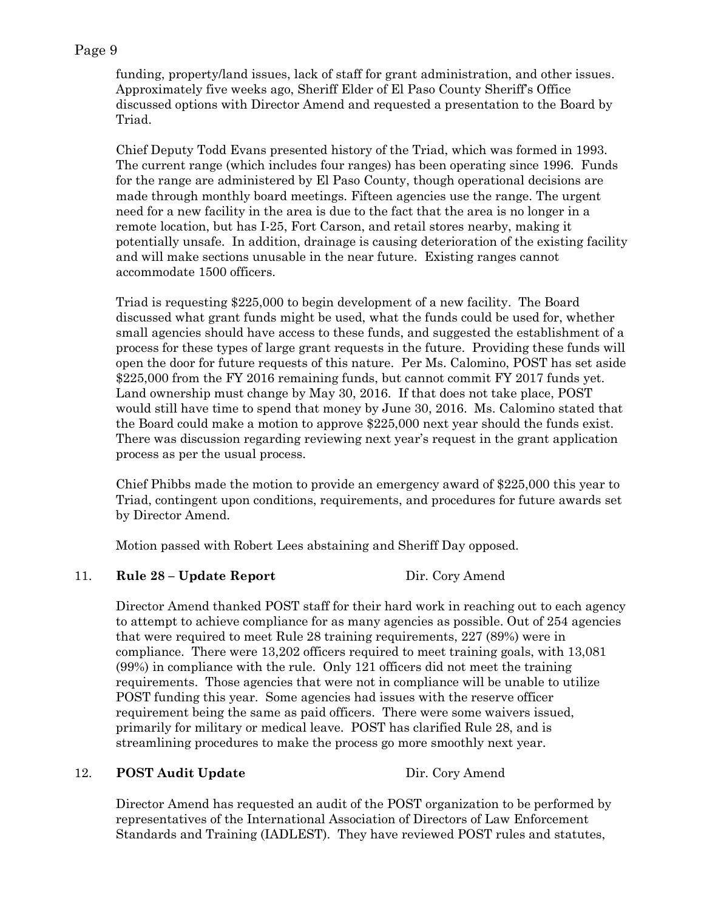funding, property/land issues, lack of staff for grant administration, and other issues. Approximately five weeks ago, Sheriff Elder of El Paso County Sheriff's Office discussed options with Director Amend and requested a presentation to the Board by Triad.

Chief Deputy Todd Evans presented history of the Triad, which was formed in 1993. The current range (which includes four ranges) has been operating since 1996. Funds for the range are administered by El Paso County, though operational decisions are made through monthly board meetings. Fifteen agencies use the range. The urgent need for a new facility in the area is due to the fact that the area is no longer in a remote location, but has I-25, Fort Carson, and retail stores nearby, making it potentially unsafe. In addition, drainage is causing deterioration of the existing facility and will make sections unusable in the near future. Existing ranges cannot accommodate 1500 officers.

Triad is requesting \$225,000 to begin development of a new facility. The Board discussed what grant funds might be used, what the funds could be used for, whether small agencies should have access to these funds, and suggested the establishment of a process for these types of large grant requests in the future. Providing these funds will open the door for future requests of this nature. Per Ms. Calomino, POST has set aside \$225,000 from the FY 2016 remaining funds, but cannot commit FY 2017 funds yet. Land ownership must change by May 30, 2016. If that does not take place, POST would still have time to spend that money by June 30, 2016. Ms. Calomino stated that the Board could make a motion to approve \$225,000 next year should the funds exist. There was discussion regarding reviewing next year's request in the grant application process as per the usual process.

Chief Phibbs made the motion to provide an emergency award of \$225,000 this year to Triad, contingent upon conditions, requirements, and procedures for future awards set by Director Amend.

Motion passed with Robert Lees abstaining and Sheriff Day opposed.

## 11. **Rule 28 – Update Report** Dir. Cory Amend

Director Amend thanked POST staff for their hard work in reaching out to each agency to attempt to achieve compliance for as many agencies as possible. Out of 254 agencies that were required to meet Rule 28 training requirements, 227 (89%) were in compliance. There were 13,202 officers required to meet training goals, with 13,081 (99%) in compliance with the rule. Only 121 officers did not meet the training requirements. Those agencies that were not in compliance will be unable to utilize POST funding this year. Some agencies had issues with the reserve officer requirement being the same as paid officers. There were some waivers issued, primarily for military or medical leave. POST has clarified Rule 28, and is streamlining procedures to make the process go more smoothly next year.

## 12. **POST Audit Update** Dir. Cory Amend

Director Amend has requested an audit of the POST organization to be performed by representatives of the International Association of Directors of Law Enforcement Standards and Training (IADLEST). They have reviewed POST rules and statutes,